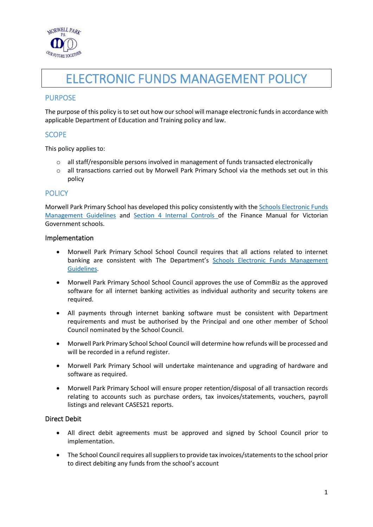

# ELECTRONIC FUNDS MANAGEMENT POLICY

## PURPOSE

The purpose of this policy is to set out how our school will manage electronic funds in accordance with applicable Department of Education and Training policy and law.

#### **SCOPE**

This policy applies to:

- o all staff/responsible persons involved in management of funds transacted electronically
- o all transactions carried out by Morwell Park Primary School via the methods set out in this policy

#### **POLICY**

Morwell Park Primary School has developed this policy consistently with th[e Schools Electronic Funds](http://www.education.vic.gov.au/Documents/school/principals/finance/Fin%20Schools%20Electronic%20Funds%20Management%20Guidelines%20V1_2.pdf)  [Management Guidelines](http://www.education.vic.gov.au/Documents/school/principals/finance/Fin%20Schools%20Electronic%20Funds%20Management%20Guidelines%20V1_2.pdf) and [Section 4 Internal Controls](https://www2.education.vic.gov.au/pal/internal-controls-finance-manual-section-4/policy) of the Finance Manual for Victorian Government schools.

#### Implementation

- Morwell Park Primary School School Council requires that all actions related to internet banking are consistent with The Department's Schools Electronic Funds Management [Guidelines](http://www.education.vic.gov.au/Documents/school/principals/finance/Fin%20Schools%20Electronic%20Funds%20Management%20Guidelines%20V1_2.pdf).
- Morwell Park Primary School School Council approves the use of CommBiz as the approved software for all internet banking activities as individual authority and security tokens are required.
- All payments through internet banking software must be consistent with Department requirements and must be authorised by the Principal and one other member of School Council nominated by the School Council.
- Morwell Park Primary School School Council will determine how refunds will be processed and will be recorded in a refund register.
- Morwell Park Primary School will undertake maintenance and upgrading of hardware and software as required.
- Morwell Park Primary School will ensure proper retention/disposal of all transaction records relating to accounts such as purchase orders, tax invoices/statements, vouchers, payroll listings and relevant CASES21 reports.

#### Direct Debit

- All direct debit agreements must be approved and signed by School Council prior to implementation.
- The School Council requires all suppliers to provide tax invoices/statements to the school prior to direct debiting any funds from the school's account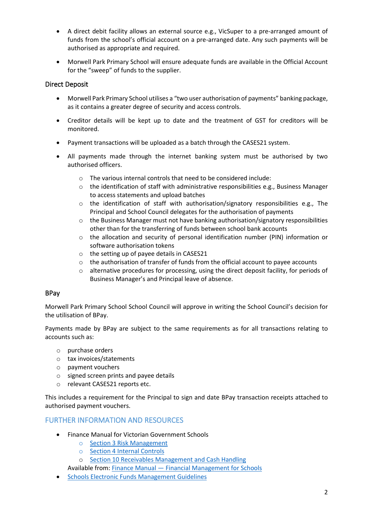- A direct debit facility allows an external source e.g., VicSuper to a pre-arranged amount of funds from the school's official account on a pre-arranged date. Any such payments will be authorised as appropriate and required.
- Morwell Park Primary School will ensure adequate funds are available in the Official Account for the "sweep" of funds to the supplier.

#### Direct Deposit

- Morwell Park Primary School utilises a "two user authorisation of payments" banking package, as it contains a greater degree of security and access controls.
- Creditor details will be kept up to date and the treatment of GST for creditors will be monitored.
- Payment transactions will be uploaded as a batch through the CASES21 system.
- All payments made through the internet banking system must be authorised by two authorised officers.
	- o The various internal controls that need to be considered include:
	- $\circ$  the identification of staff with administrative responsibilities e.g., Business Manager to access statements and upload batches
	- $\circ$  the identification of staff with authorisation/signatory responsibilities e.g., The Principal and School Council delegates for the authorisation of payments
	- $\circ$  the Business Manager must not have banking authorisation/signatory responsibilities other than for the transferring of funds between school bank accounts
	- $\circ$  the allocation and security of personal identification number (PIN) information or software authorisation tokens
	- o the setting up of payee details in CASES21
	- $\circ$  the authorisation of transfer of funds from the official account to payee accounts
	- o alternative procedures for processing, using the direct deposit facility, for periods of Business Manager's and Principal leave of absence.

## BPay

Morwell Park Primary School School Council will approve in writing the School Council's decision for the utilisation of BPay.

Payments made by BPay are subject to the same requirements as for all transactions relating to accounts such as:

- o purchase orders
- o tax invoices/statements
- o payment vouchers
- o signed screen prints and payee details
- o relevant CASES21 reports etc.

This includes a requirement for the Principal to sign and date BPay transaction receipts attached to authorised payment vouchers.

## FURTHER INFORMATION AND RESOURCES

- Finance Manual for Victorian Government Schools
	- o [Section 3 Risk Management](https://www2.education.vic.gov.au/pal/risk-management-finance-manual-section-3/policy)
	- o [Section 4 Internal Controls](https://www2.education.vic.gov.au/pal/internal-controls-finance-manual-section-4/policy)
	- o [Section 10 Receivables Management and Cash Handling](https://www2.education.vic.gov.au/pal/receivables-management-and-cash-handling-finance-manual-section-10/policy)

Available from: Finance Manual — [Financial Management for Schools](https://www2.education.vic.gov.au/pal/finance-manual/policy)

• [Schools Electronic Funds Management Guidelines](http://www.education.vic.gov.au/Documents/school/principals/finance/Fin%20Schools%20Electronic%20Funds%20Management%20Guidelines%20V1_2.pdf)